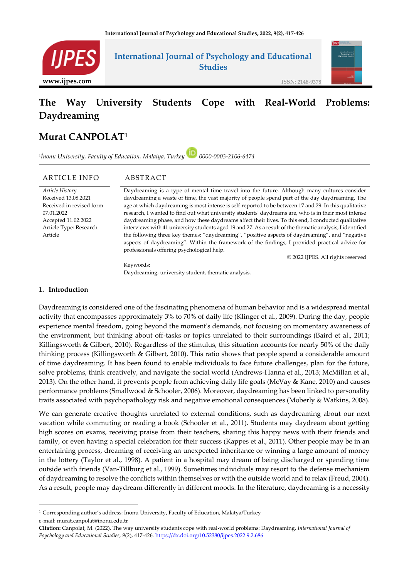

# **The Way University Students Cope with Real-World Problems: Daydreaming**

# **Murat CANPOLAT<sup>1</sup>**

1 *İnonu University, Faculty of Education, Malatya, Turkey 0000-0003-2106-6474*

# ARTICLE INFO ABSTRACT

*Article Histor*y Received 13.08.2021 Received in revised form 07.01.2022 Accepted 11.02.2022 Article Type: Research Article

Daydreaming is a type of mental time travel into the future. Although many cultures consider daydreaming a waste of time, the vast majority of people spend part of the day daydreaming. The age at which daydreaming is most intense is self-reported to be between 17 and 29. In this qualitative research, I wanted to find out what university students' daydreams are, who is in their most intense daydreaming phase, and how these daydreams affect their lives. To this end, I conducted qualitative interviews with 41 university students aged 19 and 27. As a result of the thematic analysis, I identified the following three key themes: "daydreaming", "positive aspects of daydreaming", and "negative aspects of daydreaming". Within the framework of the findings, I provided practical advice for professionals offering psychological help.

© 2022 IJPES. All rights reserved

Keywords: Daydreaming, university student, thematic analysis.

#### **1. Introduction**

Daydreaming is considered one of the fascinating phenomena of human behavior and is a widespread mental activity that encompasses approximately 3% to 70% of daily life (Klinger et al., 2009). During the day, people experience mental freedom, going beyond the moment's demands, not focusing on momentary awareness of the environment, but thinking about off-tasks or topics unrelated to their surroundings (Baird et al., 2011; Killingsworth & Gilbert, 2010). Regardless of the stimulus, this situation accounts for nearly 50% of the daily thinking process (Killingsworth & Gilbert, 2010). This ratio shows that people spend a considerable amount of time daydreaming. It has been found to enable individuals to face future challenges, plan for the future, solve problems, think creatively, and navigate the social world (Andrews-Hanna et al., 2013; McMillan et al., 2013). On the other hand, it prevents people from achieving daily life goals (McVay & Kane, 2010) and causes performance problems (Smallwood & Schooler, 2006). Moreover, daydreaming has been linked to personality traits associated with psychopathology risk and negative emotional consequences (Moberly & Watkins, 2008).

We can generate creative thoughts unrelated to external conditions, such as daydreaming about our next vacation while commuting or reading a book (Schooler et al., 2011). Students may daydream about getting high scores on exams, receiving praise from their teachers, sharing this happy news with their friends and family, or even having a special celebration for their success (Kappes et al., 2011). Other people may be in an entertaining process, dreaming of receiving an unexpected inheritance or winning a large amount of money in the lottery (Taylor et al., 1998). A patient in a hospital may dream of being discharged or spending time outside with friends (Van-Tillburg et al., 1999). Sometimes individuals may resort to the defense mechanism of daydreaming to resolve the conflicts within themselves or with the outside world and to relax (Freud, 2004). As a result, people may daydream differently in different moods. In the literature, daydreaming is a necessity

<sup>1</sup> Corresponding author's address: Inonu University, Faculty of Education, Malatya/Turkey e-mail: murat.canpolat@inonu.edu.tr

**Citation:** Canpolat, M. (2022). The way university students cope with real-world problems: Daydreaming. *International Journal of Psychology and Educational Studies, 9*(2), 417-426. <https://dx.doi.org/10.52380/ijpes.2022.9.2.686>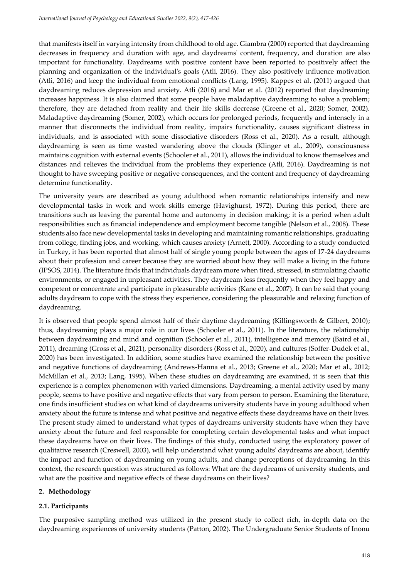that manifests itself in varying intensity from childhood to old age. Giambra (2000) reported that daydreaming decreases in frequency and duration with age, and daydreams' content, frequency, and duration are also important for functionality. Daydreams with positive content have been reported to positively affect the planning and organization of the individual's goals (Atli, 2016). They also positively influence motivation (Atli, 2016) and keep the individual from emotional conflicts (Lang, 1995). Kappes et al. (2011) argued that daydreaming reduces depression and anxiety. Atli (2016) and Mar et al. (2012) reported that daydreaming increases happiness. It is also claimed that some people have maladaptive daydreaming to solve a problem; therefore, they are detached from reality and their life skills decrease (Greene et al., 2020; Somer, 2002). Maladaptive daydreaming (Somer, 2002), which occurs for prolonged periods, frequently and intensely in a manner that disconnects the individual from reality, impairs functionality, causes significant distress in individuals, and is associated with some dissociative disorders (Ross et al., 2020). As a result, although daydreaming is seen as time wasted wandering above the clouds (Klinger et al., 2009), consciousness maintains cognition with external events (Schooler et al., 2011), allows the individual to know themselves and distances and relieves the individual from the problems they experience (Atli, 2016). Daydreaming is not thought to have sweeping positive or negative consequences, and the content and frequency of daydreaming determine functionality.

The university years are described as young adulthood when romantic relationships intensify and new developmental tasks in work and work skills emerge (Havighurst, 1972). During this period, there are transitions such as leaving the parental home and autonomy in decision making; it is a period when adult responsibilities such as financial independence and employment become tangible (Nelson et al., 2008). These students also face new developmental tasks in developing and maintaining romantic relationships, graduating from college, finding jobs, and working, which causes anxiety (Arnett, 2000). According to a study conducted in Turkey, it has been reported that almost half of single young people between the ages of 17-24 daydreams about their profession and career because they are worried about how they will make a living in the future (IPSOS, 2014). The literature finds that individuals daydream more when tired, stressed, in stimulating chaotic environments, or engaged in unpleasant activities. They daydream less frequently when they feel happy and competent or concentrate and participate in pleasurable activities (Kane et al., 2007). It can be said that young adults daydream to cope with the stress they experience, considering the pleasurable and relaxing function of daydreaming.

It is observed that people spend almost half of their daytime daydreaming (Killingsworth & Gilbert, 2010); thus, daydreaming plays a major role in our lives (Schooler et al., 2011). In the literature, the relationship between daydreaming and mind and cognition (Schooler et al., 2011), intelligence and memory (Baird et al., 2011), dreaming (Gross et al., 2021), personality disorders (Ross et al., 2020), and cultures (Soffer-Dudek et al., 2020) has been investigated. In addition, some studies have examined the relationship between the positive and negative functions of daydreaming (Andrews-Hanna et al., 2013; Greene et al., 2020; Mar et al., 2012; McMillan et al., 2013; Lang, 1995). When these studies on daydreaming are examined, it is seen that this experience is a complex phenomenon with varied dimensions. Daydreaming, a mental activity used by many people, seems to have positive and negative effects that vary from person to person. Examining the literature, one finds insufficient studies on what kind of daydreams university students have in young adulthood when anxiety about the future is intense and what positive and negative effects these daydreams have on their lives. The present study aimed to understand what types of daydreams university students have when they have anxiety about the future and feel responsible for completing certain developmental tasks and what impact these daydreams have on their lives. The findings of this study, conducted using the exploratory power of qualitative research (Creswell, 2003), will help understand what young adults' daydreams are about, identify the impact and function of daydreaming on young adults, and change perceptions of daydreaming. In this context, the research question was structured as follows: What are the daydreams of university students, and what are the positive and negative effects of these daydreams on their lives?

# **2. Methodology**

# **2.1. Participants**

The purposive sampling method was utilized in the present study to collect rich, in-depth data on the daydreaming experiences of university students (Patton, 2002). The Undergraduate Senior Students of Inonu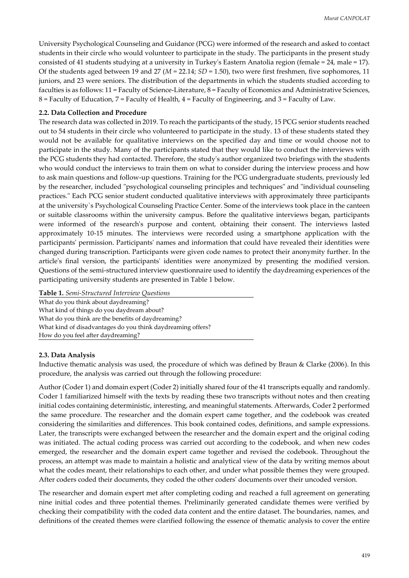University Psychological Counseling and Guidance (PCG) were informed of the research and asked to contact students in their circle who would volunteer to participate in the study. The participants in the present study consisted of 41 students studying at a university in Turkey's Eastern Anatolia region (female = 24, male = 17). Of the students aged between 19 and 27 (*M* = 22.14; *SD* = 1.50), two were first freshmen, five sophomores, 11 juniors, and 23 were seniors. The distribution of the departments in which the students studied according to faculties is as follows: 11 = Faculty of Science-Literature, 8 = Faculty of Economics and Administrative Sciences,  $8$  = Faculty of Education,  $7$  = Faculty of Health,  $4$  = Faculty of Engineering, and  $3$  = Faculty of Law.

# **2.2. Data Collection and Procedure**

The research data was collected in 2019. To reach the participants of the study, 15 PCG senior students reached out to 54 students in their circle who volunteered to participate in the study. 13 of these students stated they would not be available for qualitative interviews on the specified day and time or would choose not to participate in the study. Many of the participants stated that they would like to conduct the interviews with the PCG students they had contacted. Therefore, the study's author organized two briefings with the students who would conduct the interviews to train them on what to consider during the interview process and how to ask main questions and follow-up questions. Training for the PCG undergraduate students, previously led by the researcher, included "psychological counseling principles and techniques" and "individual counseling practices." Each PCG senior student conducted qualitative interviews with approximately three participants at the university`s Psychological Counseling Practice Center. Some of the interviews took place in the canteen or suitable classrooms within the university campus. Before the qualitative interviews began, participants were informed of the research's purpose and content, obtaining their consent. The interviews lasted approximately 10-15 minutes. The interviews were recorded using a smartphone application with the participants' permission. Participants' names and information that could have revealed their identities were changed during transcription. Participants were given code names to protect their anonymity further. In the article's final version, the participants' identities were anonymized by presenting the modified version. Questions of the semi-structured interview questionnaire used to identify the daydreaming experiences of the participating university students are presented in Table 1 below.

**Table 1.** *Semi-Structured Interview Questions*

What do you think about daydreaming? What kind of things do you daydream about? What do you think are the benefits of daydreaming? What kind of disadvantages do you think daydreaming offers? How do you feel after daydreaming?

## **2.3. Data Analysis**

Inductive thematic analysis was used, the procedure of which was defined by Braun & Clarke (2006). In this procedure, the analysis was carried out through the following procedure:

Author (Coder 1) and domain expert (Coder 2) initially shared four of the 41 transcripts equally and randomly. Coder 1 familiarized himself with the texts by reading these two transcripts without notes and then creating initial codes containing deterministic, interesting, and meaningful statements. Afterwards, Coder 2 performed the same procedure. The researcher and the domain expert came together, and the codebook was created considering the similarities and differences. This book contained codes, definitions, and sample expressions. Later, the transcripts were exchanged between the researcher and the domain expert and the original coding was initiated. The actual coding process was carried out according to the codebook, and when new codes emerged, the researcher and the domain expert came together and revised the codebook. Throughout the process, an attempt was made to maintain a holistic and analytical view of the data by writing memos about what the codes meant, their relationships to each other, and under what possible themes they were grouped. After coders coded their documents, they coded the other coders' documents over their uncoded version.

The researcher and domain expert met after completing coding and reached a full agreement on generating nine initial codes and three potential themes. Preliminarily generated candidate themes were verified by checking their compatibility with the coded data content and the entire dataset. The boundaries, names, and definitions of the created themes were clarified following the essence of thematic analysis to cover the entire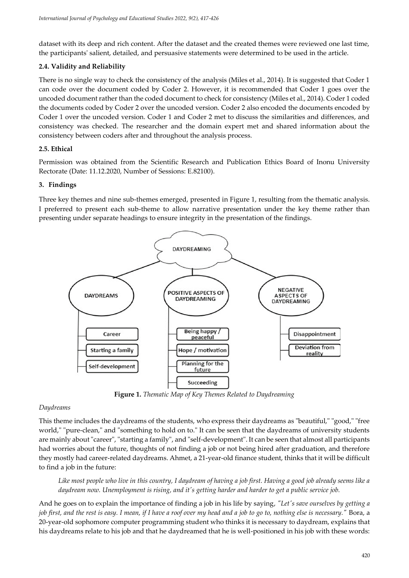dataset with its deep and rich content. After the dataset and the created themes were reviewed one last time, the participants' salient, detailed, and persuasive statements were determined to be used in the article.

# **2.4. Validity and Reliability**

There is no single way to check the consistency of the analysis (Miles et al., 2014). It is suggested that Coder 1 can code over the document coded by Coder 2. However, it is recommended that Coder 1 goes over the uncoded document rather than the coded document to check for consistency (Miles et al., 2014). Coder 1 coded the documents coded by Coder 2 over the uncoded version. Coder 2 also encoded the documents encoded by Coder 1 over the uncoded version. Coder 1 and Coder 2 met to discuss the similarities and differences, and consistency was checked. The researcher and the domain expert met and shared information about the consistency between coders after and throughout the analysis process.

# **2.5. Ethical**

Permission was obtained from the Scientific Research and Publication Ethics Board of Inonu University Rectorate (Date: 11.12.2020, Number of Sessions: E.82100).

# **3. Findings**

Three key themes and nine sub-themes emerged, presented in Figure 1, resulting from the thematic analysis. I preferred to present each sub-theme to allow narrative presentation under the key theme rather than presenting under separate headings to ensure integrity in the presentation of the findings.



**Figure 1.** *Thematic Map of Key Themes Related to Daydreaming*

## *Daydreams*

This theme includes the daydreams of the students, who express their daydreams as "beautiful," "good," "free world," "pure-clean," and "something to hold on to." It can be seen that the daydreams of university students are mainly about "career", "starting a family", and "self-development". It can be seen that almost all participants had worries about the future, thoughts of not finding a job or not being hired after graduation, and therefore they mostly had career-related daydreams. Ahmet, a 21-year-old finance student, thinks that it will be difficult to find a job in the future:

Like most people who live in this country, I daydream of having a job first. Having a good job already seems like a *daydream now. Unemployment is rising, and it's getting harder and harder to get a public service job.*

And he goes on to explain the importance of finding a job in his life by saying, *"Let's save ourselves by getting a job first, and the rest is easy. I mean, if I have a roof over my head and a job to go to, nothing else is necessary."* Bora, a 20-year-old sophomore computer programming student who thinks it is necessary to daydream, explains that his daydreams relate to his job and that he daydreamed that he is well-positioned in his job with these words: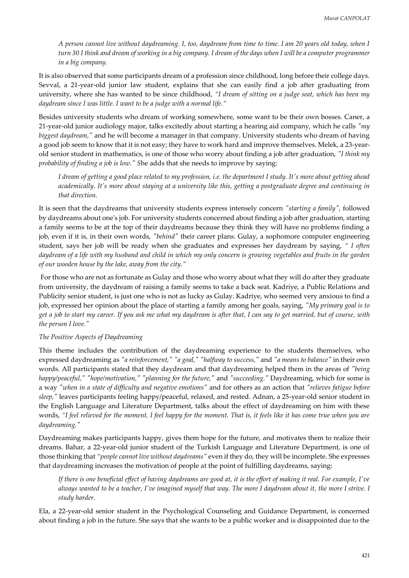*A person cannot live without daydreaming. I, too, daydream from time to time. I am 20 years old today, when I*  turn 30 I think and dream of working in a big company. I dream of the days when I will be a computer programmer *in a big company.* 

It is also observed that some participants dream of a profession since childhood, long before their college days. Sevval, a 21-year-old junior law student, explains that she can easily find a job after graduating from university, where she has wanted to be since childhood, *"I dream of sitting on a judge seat, which has been my daydream since I was little. I want to be a judge with a normal life."* 

Besides university students who dream of working somewhere, some want to be their own bosses. Caner, a 21-year-old junior audiology major, talks excitedly about starting a hearing aid company, which he calls *"my biggest daydream,"* and he will become a manager in that company. University students who dream of having a good job seem to know that it is not easy; they have to work hard and improve themselves. Melek, a 23-yearold senior student in mathematics, is one of those who worry about finding a job after graduation, *"I think my probability of finding a job is low." S*he adds that she needs to improve by saying:

*I dream of getting a good place related to my profession, i.e. the department I study. It's more about getting ahead academically. It's more about staying at a university like this, getting a postgraduate degree and continuing in that direction.*

It is seen that the daydreams that university students express intensely concern *"starting a family",* followed by daydreams about one's job. For university students concerned about finding a job after graduation, starting a family seems to be at the top of their daydreams because they think they will have no problems finding a job, even if it is, in their own words, *"behind"* their career plans. Gulay, a sophomore computer engineering student, says her job will be ready when she graduates and expresses her daydream by saying, *" I often daydream of a life with my husband and child in which my only concern is growing vegetables and fruits in the garden of our wooden house by the lake, away from the city."*

For those who are not as fortunate as Gulay and those who worry about what they will do after they graduate from university, the daydream of raising a family seems to take a back seat. Kadriye, a Public Relations and Publicity senior student, is just one who is not as lucky as Gulay. Kadriye, who seemed very anxious to find a job, expressed her opinion about the place of starting a family among her goals, saying, *"My primary goal is to get a job to start my career. If you ask me what my daydream is after that, I can say to get married, but of course, with the person I love."*

## *The Positive Aspects of Daydreaming*

This theme includes the contribution of the daydreaming experience to the students themselves, who expressed daydreaming as *"a reinforcement," "a goal," "halfway to success,"* and *"a means to balance"* in their own words. All participants stated that they daydream and that daydreaming helped them in the areas of *"being happy/peaceful," "hope/motivation," "planning for the future,"* and *"succeeding."* Daydreaming, which for some is a way *"when in a state of difficulty and negative emotions"* and for others as an action that *"relieves fatigue before sleep,"* leaves participants feeling happy/peaceful, relaxed, and rested. Adnan, a 25-year-old senior student in the English Language and Literature Department, talks about the effect of daydreaming on him with these words, *"I feel relieved for the moment, I feel happy for the moment. That is, it feels like it has come true when you are daydreaming."*

Daydreaming makes participants happy, gives them hope for the future, and motivates them to realize their dreams. Bahar, a 22-year-old junior student of the Turkish Language and Literature Department, is one of those thinking that *"people cannot live without daydreams"* even if they do, they will be incomplete. She expresses that daydreaming increases the motivation of people at the point of fulfilling daydreams, saying:

*If there is one beneficial effect of having daydreams are good at, it is the effort of making it real. For example, I've always wanted to be a teacher, I've imagined myself that way. The more I daydream about it, the more I strive. I study harder.* 

Ela, a 22-year-old senior student in the Psychological Counseling and Guidance Department, is concerned about finding a job in the future. She says that she wants to be a public worker and is disappointed due to the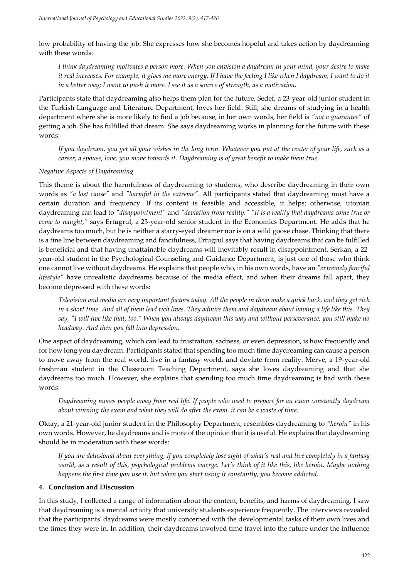low probability of having the job. She expresses how she becomes hopeful and takes action by daydreaming with these words:

*I think daydreaming motivates a person more. When you envision a daydream in your mind, your desire to make it real increases. For example, it gives me more energy. If I have the feeling I like when I daydream, I want to do it in a better way; I want to push it more. I see it as a source of strength, as a motivation.*

Participants state that daydreaming also helps them plan for the future. Sedef, a 23-year-old junior student in the Turkish Language and Literature Department, loves her field. Still, she dreams of studying in a health department where she is more likely to find a job because, in her own words, her field is *"not a guarantee"* of getting a job. She has fulfilled that dream. She says daydreaming works in planning for the future with these words:

*If you daydream, you get all your wishes in the long term. Whatever you put at the center of your life, such as a career, a spouse, love, you move towards it. Daydreaming is of great benefit to make them true.*

#### *Negative Aspects of Daydreaming*

This theme is about the harmfulness of daydreaming to students, who describe daydreaming in their own words as *"a lost cause"* and *"harmful in the extreme"*. All participants stated that daydreaming must have a certain duration and frequency. If its content is feasible and accessible, it helps; otherwise, utopian daydreaming can lead to *"disappointment"* and *"deviation from reality." "It is a reality that daydreams come true or come to naught,"* says Ertugrul, a 23-year-old senior student in the Economics Department. He adds that he daydreams too much, but he is neither a starry-eyed dreamer nor is on a wild goose chase. Thinking that there is a fine line between daydreaming and fancifulness, Ertugrul says that having daydreams that can be fulfilled is beneficial and that having unattainable daydreams will inevitably result in disappointment. Serkan, a 22 year-old student in the Psychological Counseling and Guidance Department, is just one of those who think one cannot live without daydreams. He explains that people who, in his own words, have an *"extremely fanciful lifestyle"* have unrealistic daydreams because of the media effect, and when their dreams fall apart, they become depressed with these words:

*Television and media are very important factors today. All the people in them make a quick buck, and they get rich in a short time. And all of them lead rich lives. They admire them and daydream about having a life like this. They say, "I will live like that, too." When you always daydream this way and without perseverance, you still make no headway. And then you fall into depression.*

One aspect of daydreaming, which can lead to frustration, sadness, or even depression, is how frequently and for how long you daydream. Participants stated that spending too much time daydreaming can cause a person to move away from the real world, live in a fantasy world, and deviate from reality. Merve, a 19-year-old freshman student in the Classroom Teaching Department, says she loves daydreaming and that she daydreams too much. However, she explains that spending too much time daydreaming is bad with these words:

*Daydreaming moves people away from real life. If people who need to prepare for an exam constantly daydream about winning the exam and what they will do after the exam, it can be a waste of time.*

Oktay, a 21-year-old junior student in the Philosophy Department, resembles daydreaming to *"heroin"* in his own words. However, he daydreams and is more of the opinion that it is useful. He explains that daydreaming should be in moderation with these words:

*If you are delusional about everything, if you completely lose sight of what's real and live completely in a fantasy world, as a result of this, psychological problems emerge. Let's think of it like this, like heroin. Maybe nothing happens the first time you use it, but when you start using it constantly, you become addicted.*

#### **4. Conclusion and Discussion**

In this study, I collected a range of information about the content, benefits, and harms of daydreaming. I saw that daydreaming is a mental activity that university students experience frequently. The interviews revealed that the participants' daydreams were mostly concerned with the developmental tasks of their own lives and the times they were in. In addition, their daydreams involved time travel into the future under the influence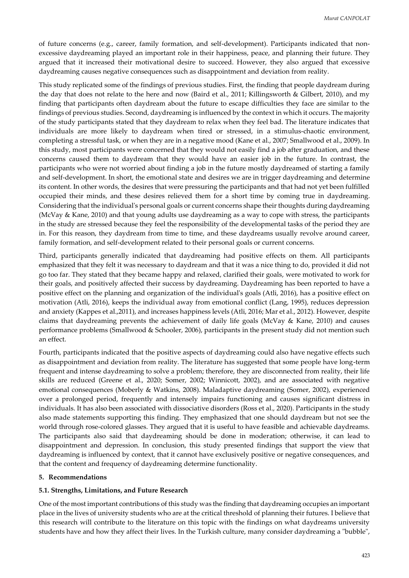of future concerns (e.g., career, family formation, and self-development). Participants indicated that nonexcessive daydreaming played an important role in their happiness, peace, and planning their future. They argued that it increased their motivational desire to succeed. However, they also argued that excessive daydreaming causes negative consequences such as disappointment and deviation from reality.

This study replicated some of the findings of previous studies. First, the finding that people daydream during the day that does not relate to the here and now (Baird et al., 2011; Killingsworth & Gilbert, 2010), and my finding that participants often daydream about the future to escape difficulties they face are similar to the findings of previous studies. Second, daydreaming is influenced by the context in which it occurs. The majority of the study participants stated that they daydream to relax when they feel bad. The literature indicates that individuals are more likely to daydream when tired or stressed, in a stimulus-chaotic environment, completing a stressful task, or when they are in a negative mood (Kane et al., 2007; Smallwood et al., 2009). In this study, most participants were concerned that they would not easily find a job after graduation, and these concerns caused them to daydream that they would have an easier job in the future. In contrast, the participants who were not worried about finding a job in the future mostly daydreamed of starting a family and self-development. In short, the emotional state and desires we are in trigger daydreaming and determine its content. In other words, the desires that were pressuring the participants and that had not yet been fulfilled occupied their minds, and these desires relieved them for a short time by coming true in daydreaming. Considering that the individual's personal goals or current concerns shape their thoughts during daydreaming (McVay & Kane, 2010) and that young adults use daydreaming as a way to cope with stress, the participants in the study are stressed because they feel the responsibility of the developmental tasks of the period they are in. For this reason, they daydream from time to time, and these daydreams usually revolve around career, family formation, and self-development related to their personal goals or current concerns.

Third, participants generally indicated that daydreaming had positive effects on them. All participants emphasized that they felt it was necessary to daydream and that it was a nice thing to do, provided it did not go too far. They stated that they became happy and relaxed, clarified their goals, were motivated to work for their goals, and positively affected their success by daydreaming. Daydreaming has been reported to have a positive effect on the planning and organization of the individual's goals (Atli, 2016), has a positive effect on motivation (Atli, 2016), keeps the individual away from emotional conflict (Lang, 1995), reduces depression and anxiety (Kappes et al.,2011), and increases happiness levels (Atli, 2016; Mar et al., 2012). However, despite claims that daydreaming prevents the achievement of daily life goals (McVay & Kane, 2010) and causes performance problems (Smallwood & Schooler, 2006), participants in the present study did not mention such an effect.

Fourth, participants indicated that the positive aspects of daydreaming could also have negative effects such as disappointment and deviation from reality. The literature has suggested that some people have long-term frequent and intense daydreaming to solve a problem; therefore, they are disconnected from reality, their life skills are reduced (Greene et al., 2020; Somer, 2002; Winnicott, 2002), and are associated with negative emotional consequences (Moberly & Watkins, 2008). Maladaptive daydreaming (Somer, 2002), experienced over a prolonged period, frequently and intensely impairs functioning and causes significant distress in individuals. It has also been associated with dissociative disorders (Ross et al., 2020). Participants in the study also made statements supporting this finding. They emphasized that one should daydream but not see the world through rose-colored glasses. They argued that it is useful to have feasible and achievable daydreams. The participants also said that daydreaming should be done in moderation; otherwise, it can lead to disappointment and depression. In conclusion, this study presented findings that support the view that daydreaming is influenced by context, that it cannot have exclusively positive or negative consequences, and that the content and frequency of daydreaming determine functionality.

## **5. Recommendations**

## **5.1. Strengths, Limitations, and Future Research**

One of the most important contributions of this study was the finding that daydreaming occupies an important place in the lives of university students who are at the critical threshold of planning their futures. I believe that this research will contribute to the literature on this topic with the findings on what daydreams university students have and how they affect their lives. In the Turkish culture, many consider daydreaming a "bubble",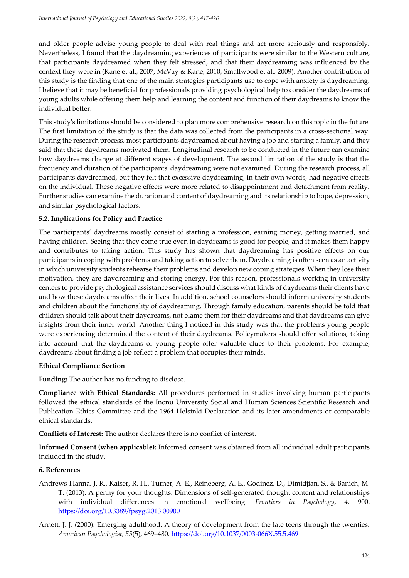and older people advise young people to deal with real things and act more seriously and responsibly. Nevertheless, I found that the daydreaming experiences of participants were similar to the Western culture, that participants daydreamed when they felt stressed, and that their daydreaming was influenced by the context they were in (Kane et al., 2007; McVay & Kane, 2010; Smallwood et al., 2009). Another contribution of this study is the finding that one of the main strategies participants use to cope with anxiety is daydreaming. I believe that it may be beneficial for professionals providing psychological help to consider the daydreams of young adults while offering them help and learning the content and function of their daydreams to know the individual better.

This study's limitations should be considered to plan more comprehensive research on this topic in the future. The first limitation of the study is that the data was collected from the participants in a cross-sectional way. During the research process, most participants daydreamed about having a job and starting a family, and they said that these daydreams motivated them. Longitudinal research to be conducted in the future can examine how daydreams change at different stages of development. The second limitation of the study is that the frequency and duration of the participants' daydreaming were not examined. During the research process, all participants daydreamed, but they felt that excessive daydreaming, in their own words, had negative effects on the individual. These negative effects were more related to disappointment and detachment from reality. Further studies can examine the duration and content of daydreaming and its relationship to hope, depression, and similar psychological factors.

# **5.2. Implications for Policy and Practice**

The participants' daydreams mostly consist of starting a profession, earning money, getting married, and having children. Seeing that they come true even in daydreams is good for people, and it makes them happy and contributes to taking action. This study has shown that daydreaming has positive effects on our participants in coping with problems and taking action to solve them. Daydreaming is often seen as an activity in which university students rehearse their problems and develop new coping strategies. When they lose their motivation, they are daydreaming and storing energy. For this reason, professionals working in university centers to provide psychological assistance services should discuss what kinds of daydreams their clients have and how these daydreams affect their lives. In addition, school counselors should inform university students and children about the functionality of daydreaming. Through family education, parents should be told that children should talk about their daydreams, not blame them for their daydreams and that daydreams can give insights from their inner world. Another thing I noticed in this study was that the problems young people were experiencing determined the content of their daydreams. Policymakers should offer solutions, taking into account that the daydreams of young people offer valuable clues to their problems. For example, daydreams about finding a job reflect a problem that occupies their minds.

## **Ethical Compliance Section**

**Funding:** The author has no funding to disclose.

**Compliance with Ethical Standards:** All procedures performed in studies involving human participants followed the ethical standards of the Inonu University Social and Human Sciences Scientific Research and Publication Ethics Committee and the 1964 Helsinki Declaration and its later amendments or comparable ethical standards.

**Conflicts of Interest:** The author declares there is no conflict of interest.

**Informed Consent (when applicable):** Informed consent was obtained from all individual adult participants included in the study.

## **6. References**

- Andrews-Hanna, J. R., Kaiser, R. H., Turner, A. E., Reineberg, A. E., Godinez, D., Dimidjian, S., & Banich, M. T. (2013). A penny for your thoughts: Dimensions of self-generated thought content and relationships with individual differences in emotional wellbeing. *Frontiers in Psychology, 4,* 900. <https://doi.org/10.3389/fpsyg.2013.00900>
- Arnett, J. J. (2000). Emerging adulthood: A theory of development from the late teens through the twenties. *American Psychologist, 55*(5), 469–480[. https://doi.org/10.1037/0003-066X.55.5.469](https://doi.org/10.1037/0003-066X.55.5.469)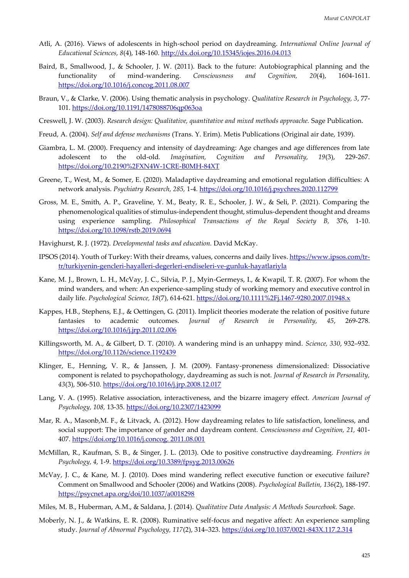- Atli, A. (2016). Views of adolescents in high-school period on daydreaming. *International Online Journal of Educational Sciences, 8*(4), 148-160[. http://dx.doi.org/10.15345/iojes.2016.04.013](http://dx.doi.org/10.15345/iojes.2016.04.013)
- Baird, B., Smallwood, J., & Schooler, J. W. (2011). Back to the future: Autobiographical planning and the functionality of mind-wandering. *Consciousness and Cognition, 20*(4), 1604-1611. <https://doi.org/10.1016/j.concog.2011.08.007>
- Braun, V., & Clarke, V. (2006). Using thematic analysis in psychology. *Qualitative Research in Psychology, 3*, 77- 101.<https://doi.org/10.1191/1478088706qp063oa>
- Creswell, J. W. (2003). *Research design: Qualitative, quantitative and mixed methods approache.* Sage Publication.
- Freud, A. (2004). *Self and defense mechanisms* (Trans. Y. Erim). Metis Publications (Original air date, 1939).
- Giambra, L. M. (2000). Frequency and intensity of daydreaming: Age changes and age differences from late adolescent to the old-old*. Imagination, Cognition and Personality, 19*(3), 229-267. <https://doi.org/10.2190%2FXN4W-1CRE-B0MH-84XT>
- Greene, T., West, M., & Somer, E. (2020). Maladaptive daydreaming and emotional regulation difficulties: A network analysis. *Psychiatry Research, 285,* 1-4*.* <https://doi.org/10.1016/j.psychres.2020.112799>
- Gross, M. E., Smith, A. P., Graveline, Y. M., Beaty, R. E., Schooler, J. W., & Seli, P. (2021). Comparing the phenomenological qualities of stimulus-independent thought, stimulus-dependent thought and dreams using experience sampling. *Philosophical Transactions of the Royal Society B,* 376, 1-10. <https://doi.org/10.1098/rstb.2019.0694>
- Havighurst, R. J. (1972). *Developmental tasks and education.* David McKay.
- IPSOS (2014). Youth of Turkey: With their dreams, values, concerns and daily lives. https://www.ipsos.com/trtr/turkiyenin-gencleri-hayalleri-degerleri-endiseleri-ve-gunluk-hayatlariyla
- Kane, M. J., Brown, L. H., McVay, J. C., Silvia, P. J., Myin-Germeys, I., & Kwapil, T. R. (2007). For whom the mind wanders, and when: An experience-sampling study of working memory and executive control in daily life. *Psychological Science, 18*(7), 614-621.<https://doi.org/10.1111%2Fj.1467-9280.2007.01948.x>
- Kappes, H.B., Stephens, E.J., & Oettingen, G. (2011). Implicit theories moderate the relation of positive future fantasies to academic outcomes. *Journal of Research in Personality, 45*, 269-278. <https://doi.org/10.1016/j.jrp.2011.02.006>
- Killingsworth, M. A., & Gilbert, D. T. (2010). A wandering mind is an unhappy mind. *Science, 330*, 932–932. <https://doi.org/10.1126/science.1192439>
- Klinger, E., Henning, V. R., & Janssen, J. M. (2009). Fantasy-proneness dimensionalized: Dissociative component is related to psychopathology, daydreaming as such is not. *Journal of Research in Personality, 43*(3), 506-510.<https://doi.org/10.1016/j.jrp.2008.12.017>
- Lang, V. A. (1995). Relative association, interactiveness, and the bizarre imagery effect. *American Journal of Psychology, 108,* 13-35.<https://doi.org/10.2307/1423099>
- Mar, R. A., Masonb,M. F., & Litvack, A. (2012). How daydreaming relates to life satisfaction, loneliness, and social support: The importance of gender and daydream content. *Consciousness and Cognition, 21,* 401- 407. [https://doi.org/10.1016/j.concog. 2011.08.001](https://doi.org/10.1016/j.concog.%202011.08.001)
- McMillan, R., Kaufman, S. B., & Singer, J. L. (2013). Ode to positive constructive daydreaming. *Frontiers in Psychology, 4,* 1-9.<https://doi.org/10.3389/fpsyg.2013.00626>
- McVay, J. C., & Kane, M. J. (2010). Does mind wandering reflect executive function or executive failure? Comment on Smallwood and Schooler (2006) and Watkins (2008). *Psychological Bulletin, 136*(2), 188-197. <https://psycnet.apa.org/doi/10.1037/a0018298>
- Miles, M. B., Huberman, A.M., & Saldana, J. (2014). *Qualitative Data Analysis: A Methods Sourcebook.* Sage.
- Moberly, N. J., & Watkins, E. R. (2008). Ruminative self-focus and negative affect: An experience sampling study. *Journal of Abnormal Psychology, 117*(2), 314–323.<https://doi.org/10.1037/0021-843X.117.2.314>